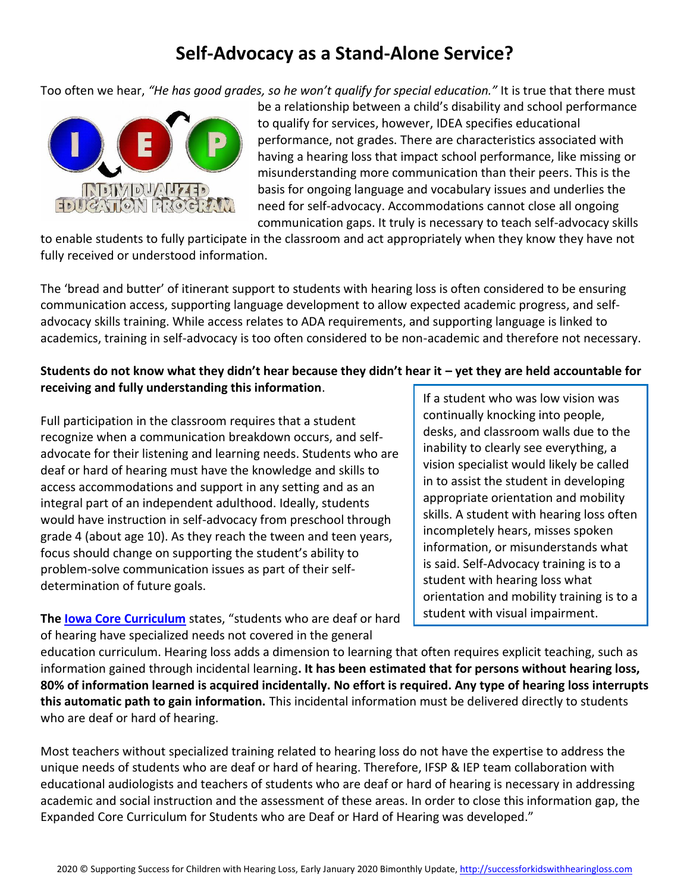# **Self-Advocacy as a Stand-Alone Service?**

Too often we hear, *"He has good grades, so he won't qualify for special education."* It is true that there must



be a relationship between a child's disability and school performance to qualify for services, however, IDEA specifies educational performance, not grades. There are characteristics associated with having a hearing loss that impact school performance, like missing or misunderstanding more communication than their peers. This is the basis for ongoing language and vocabulary issues and underlies the need for self-advocacy. Accommodations cannot close all ongoing communication gaps. It truly is necessary to teach self-advocacy skills

to enable students to fully participate in the classroom and act appropriately when they know they have not fully received or understood information.

The 'bread and butter' of itinerant support to students with hearing loss is often considered to be ensuring communication access, supporting language development to allow expected academic progress, and selfadvocacy skills training. While access relates to ADA requirements, and supporting language is linked to academics, training in self-advocacy is too often considered to be non-academic and therefore not necessary.

# **Students do not know what they didn't hear because they didn't hear it – yet they are held accountable for receiving and fully understanding this information**.

Full participation in the classroom requires that a student recognize when a communication breakdown occurs, and selfadvocate for their listening and learning needs. Students who are deaf or hard of hearing must have the knowledge and skills to access accommodations and support in any setting and as an integral part of an independent adulthood. Ideally, students would have instruction in self-advocacy from preschool through grade 4 (about age 10). As they reach the tween and teen years, focus should change on supporting the student's ability to problem-solve communication issues as part of their selfdetermination of future goals.

**The [Iowa Core Curriculum](https://educateiowa.gov/sites/files/ed/documents/ECC-DHH-April2019.pdf)** states, "students who are deaf or hard of hearing have specialized needs not covered in the general

If a student who was low vision was continually knocking into people, desks, and classroom walls due to the inability to clearly see everything, a vision specialist would likely be called in to assist the student in developing appropriate orientation and mobility skills. A student with hearing loss often incompletely hears, misses spoken information, or misunderstands what is said. Self-Advocacy training is to a student with hearing loss what orientation and mobility training is to a student with visual impairment.

education curriculum. Hearing loss adds a dimension to learning that often requires explicit teaching, such as information gained through incidental learning**. It has been estimated that for persons without hearing loss, 80% of information learned is acquired incidentally. No effort is required. Any type of hearing loss interrupts this automatic path to gain information.** This incidental information must be delivered directly to students who are deaf or hard of hearing.

Most teachers without specialized training related to hearing loss do not have the expertise to address the unique needs of students who are deaf or hard of hearing. Therefore, IFSP & IEP team collaboration with educational audiologists and teachers of students who are deaf or hard of hearing is necessary in addressing academic and social instruction and the assessment of these areas. In order to close this information gap, the Expanded Core Curriculum for Students who are Deaf or Hard of Hearing was developed."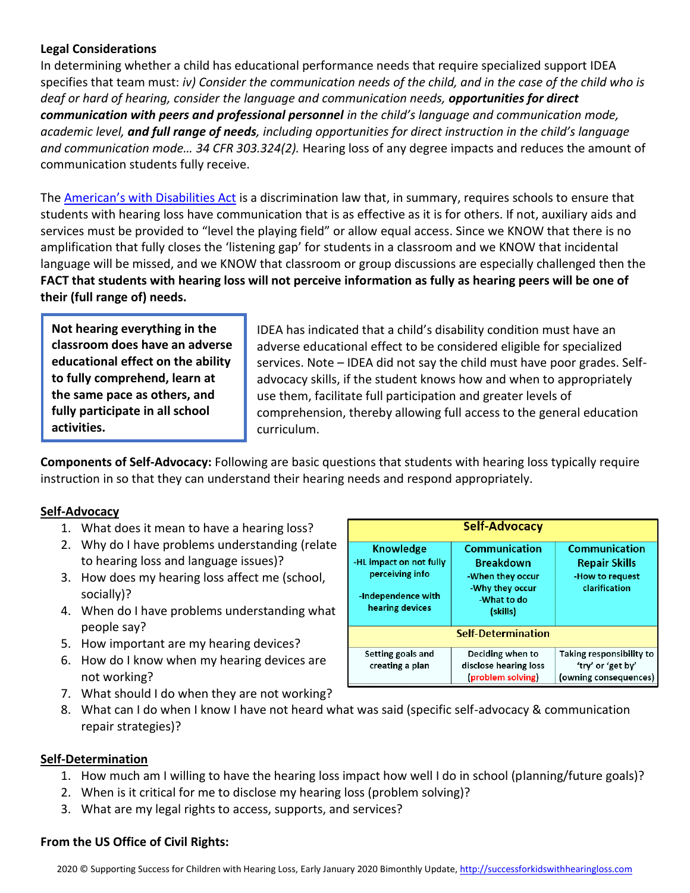#### **Legal Considerations**

In determining whether a child has educational performance needs that require specialized support IDEA specifies that team must: *iv) Consider the communication needs of the child, and in the case of the child who is deaf or hard of hearing, consider the language and communication needs, opportunities for direct communication with peers and professional personnel in the child's language and communication mode, academic level, and full range of needs, including opportunities for direct instruction in the child's language and communication mode… 34 CFR 303.324(2).* Hearing loss of any degree impacts and reduces the amount of communication students fully receive.

The **A[merican's with Disa](http://successforkidswithhearingloss.com/access-ada/)bilities Act** is a discrimination law that, in summary, requires schools to ensure that students with hearing loss have communication that is as effective as it is for others. If not, auxiliary aids and services must be provided to "level the playing field" or allow equal access. Since we KNOW that there is no amplification that fully closes the 'listening gap' for students in a classroom and we KNOW that incidental language will be missed, and we KNOW that classroom or group discussions are especially challenged then the **FACT that students with hearing loss will not perceive information as fully as hearing peers will be one of their (full range of) needs.** 

**Not hearing everything in the classroom does have an adverse educational effect on the ability to fully comprehend, learn at the same pace as others, and fully participate in all school activities.**

IDEA has indicated that a child's disability condition must have an adverse educational effect to be considered eligible for specialized services. Note – IDEA did not say the child must have poor grades. Selfadvocacy skills, if the student knows how and when to appropriately use them, facilitate full participation and greater levels of comprehension, thereby allowing full access to the general education curriculum.

**Components of Self-Advocacy:** Following are basic questions that students with hearing loss typically require instruction in so that they can understand their hearing needs and respond appropriately.

## **Self-Advocacy**

- 1. What does it mean to have a hearing loss?
- 2. Why do I have problems understanding (relate to hearing loss and language issues)?
- 3. How does my hearing loss affect me (school, socially)?
- 4. When do I have problems understanding what people say?
- 5. How important are my hearing devices?
- 6. How do I know when my hearing devices are not working?
- 7. What should I do when they are not working?
- 8. What can I do when I know I have not heard what was said (specific self-advocacy & communication repair strategies)?

#### **Self-Determination**

- 1. How much am I willing to have the hearing loss impact how well I do in school (planning/future goals)?
- 2. When is it critical for me to disclose my hearing loss (problem solving)?
- 3. What are my legal rights to access, supports, and services?

#### **From the US Office of Civil Rights:**

| Self-Advocacy                                                                                           |                                                                                                            |                                                                           |
|---------------------------------------------------------------------------------------------------------|------------------------------------------------------------------------------------------------------------|---------------------------------------------------------------------------|
| <b>Knowledge</b><br>-HL impact on not fully<br>perceiving info<br>-Independence with<br>hearing devices | <b>Communication</b><br><b>Breakdown</b><br>-When they occur<br>-Why they occur<br>-What to do<br>(skills) | Communication<br><b>Repair Skills</b><br>-How to request<br>clarification |
| <b>Self-Determination</b>                                                                               |                                                                                                            |                                                                           |
| Setting goals and<br>creating a plan                                                                    | Deciding when to<br>disclose hearing loss<br>(problem solving)                                             | Taking responsibility to<br>'try' or 'get by'<br>(owning consequences)    |